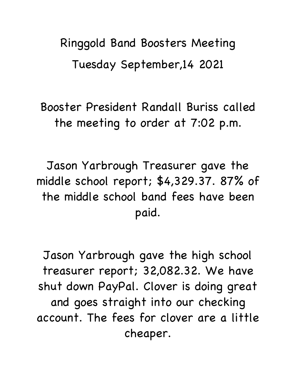Ringgold Band Boosters Meeting Tuesday September,14 2021

Booster President Randall Buriss called the meeting to order at 7:02 p.m.

Jason Yarbrough Treasurer gave the middle school report; \$4,329.37. 87% of the middle school band fees have been paid.

Jason Yarbrough gave the high school treasurer report; 32,082.32. We have shut down PayPal. Clover is doing great and goes straight into our checking account. The fees for clover are a little cheaper.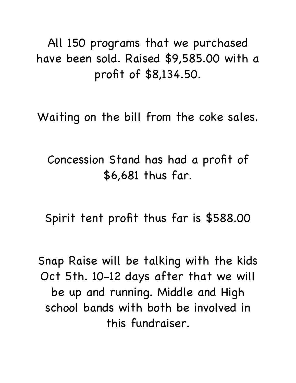All 150 programs that we purchased have been sold. Raised \$9,585.00 with a profit of \$8,134.50.

Waiting on the bill from the coke sales.

Concession Stand has had a profit of \$6,681 thus far.

Spirit tent profit thus far is \$588.00

Snap Raise will be talking with the kids Oct 5th. 10-12 days after that we will be up and running. Middle and High school bands with both be involved in this fundraiser.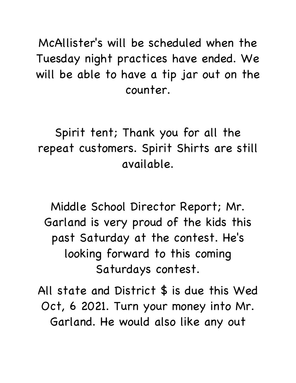McAllister's will be scheduled when the Tuesday night practices have ended. We will be able to have a tip jar out on the counter.

Spirit tent; Thank you for all the repeat customers. Spirit Shirts are still available.

Middle School Director Report; Mr. Garland is very proud of the kids this past Saturday at the contest. He's looking forward to this coming Saturdays contest.

All state and District \$ is due this Wed Oct, 6 2021. Turn your money into Mr. Garland. He would also like any out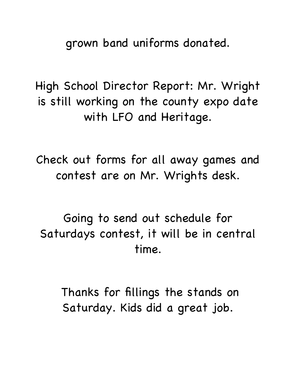grown band uniforms donated.

High School Director Report: Mr. Wright is still working on the county expo date with LFO and Heritage.

Check out forms for all away games and contest are on Mr. Wrights desk.

Going to send out schedule for Saturdays contest, it will be in central time.

 Thanks for fillings the stands on Saturday. Kids did a great job.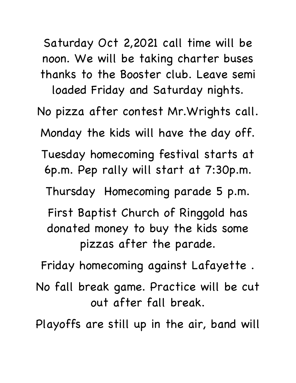Saturday Oct 2,2021 call time will be noon. We will be taking charter buses thanks to the Booster club. Leave semi loaded Friday and Saturday nights. No pizza after contest Mr.Wrights call. Monday the kids will have the day off. Tuesday homecoming festival starts at 6p.m. Pep rally will start at 7:30p.m. Thursday Homecoming parade 5 p.m. First Baptist Church of Ringgold has donated money to buy the kids some pizzas after the parade. Friday homecoming against Lafayette . No fall break game. Practice will be cut out after fall break.

Playoffs are still up in the air, band will